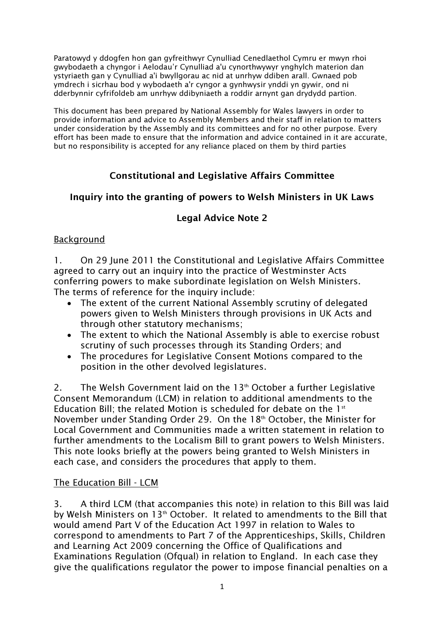Paratowyd y ddogfen hon gan gyfreithwyr Cynulliad Cenedlaethol Cymru er mwyn rhoi gwybodaeth a chyngor i Aelodau'r Cynulliad a'u cynorthwywyr ynghylch materion dan ystyriaeth gan y Cynulliad a'i bwyllgorau ac nid at unrhyw ddiben arall. Gwnaed pob ymdrech i sicrhau bod y wybodaeth a'r cyngor a gynhwysir ynddi yn gywir, ond ni dderbynnir cyfrifoldeb am unrhyw ddibyniaeth a roddir arnynt gan drydydd partïon.

This document has been prepared by National Assembly for Wales lawyers in order to provide information and advice to Assembly Members and their staff in relation to matters under consideration by the Assembly and its committees and for no other purpose. Every effort has been made to ensure that the information and advice contained in it are accurate, but no responsibility is accepted for any reliance placed on them by third parties

# Constitutional and Legislative Affairs Committee

## Inquiry into the granting of powers to Welsh Ministers in UK Laws

# Legal Advice Note 2

## **Background**

1. On 29 June 2011 the Constitutional and Legislative Affairs Committee agreed to carry out an inquiry into the practice of Westminster Acts conferring powers to make subordinate legislation on Welsh Ministers. The terms of reference for the inquiry include:

- The extent of the current National Assembly scrutiny of delegated powers given to Welsh Ministers through provisions in UK Acts and through other statutory mechanisms;
- The extent to which the National Assembly is able to exercise robust scrutiny of such processes through its Standing Orders; and
- The procedures for Legislative Consent Motions compared to the position in the other devolved legislatures.

2. The Welsh Government laid on the  $13<sup>th</sup>$  October a further Legislative Consent Memorandum (LCM) in relation to additional amendments to the Education Bill; the related Motion is scheduled for debate on the  $1<sup>st</sup>$ November under Standing Order 29. On the 18<sup>th</sup> October, the Minister for Local Government and Communities made a written statement in relation to further amendments to the Localism Bill to grant powers to Welsh Ministers. This note looks briefly at the powers being granted to Welsh Ministers in each case, and considers the procedures that apply to them.

### The Education Bill - LCM

3. A third LCM (that accompanies this note) in relation to this Bill was laid by Welsh Ministers on  $13<sup>th</sup>$  October. It related to amendments to the Bill that would amend Part V of the Education Act 1997 in relation to Wales to correspond to amendments to Part 7 of the Apprenticeships, Skills, Children and Learning Act 2009 concerning the Office of Qualifications and Examinations Regulation (Ofqual) in relation to England. In each case they give the qualifications regulator the power to impose financial penalties on a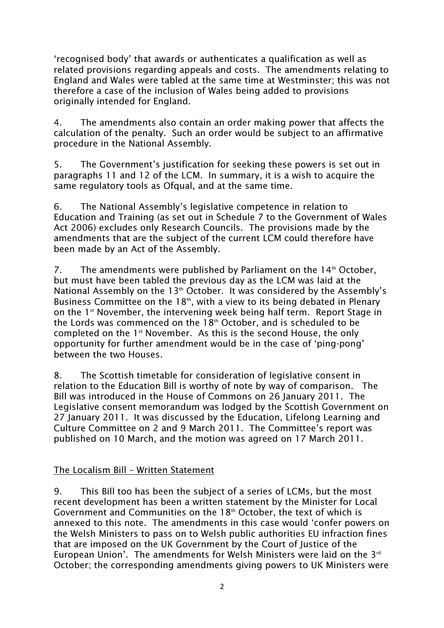'recognised body' that awards or authenticates a qualification as well as related provisions regarding appeals and costs. The amendments relating to England and Wales were tabled at the same time at Westminster; this was not therefore a case of the inclusion of Wales being added to provisions originally intended for England.

4. The amendments also contain an order making power that affects the calculation of the penalty. Such an order would be subject to an affirmative procedure in the National Assembly.

5. The Government's justification for seeking these powers is set out in paragraphs 11 and 12 of the LCM. In summary, it is a wish to acquire the same regulatory tools as Ofqual, and at the same time.

6. The National Assembly's legislative competence in relation to Education and Training (as set out in Schedule 7 to the Government of Wales Act 2006) excludes only Research Councils. The provisions made by the amendments that are the subject of the current LCM could therefore have been made by an Act of the Assembly.

7. The amendments were published by Parliament on the  $14<sup>th</sup>$  October, but must have been tabled the previous day as the LCM was laid at the National Assembly on the 13<sup>th</sup> October. It was considered by the Assembly's Business Committee on the  $18<sup>th</sup>$ , with a view to its being debated in Plenary on the  $1<sup>st</sup>$  November, the intervening week being half term. Report Stage in the Lords was commenced on the  $18<sup>th</sup>$  October, and is scheduled to be completed on the 1<sup>st</sup> November. As this is the second House, the only opportunity for further amendment would be in the case of 'ping-pong' between the two Houses.

8. The Scottish timetable for consideration of legislative consent in relation to the Education Bill is worthy of note by way of comparison. The Bill was introduced in the House of Commons on 26 January 2011. The Legislative consent memorandum was lodged by the Scottish Government on 27 January 2011. It was discussed by the Education, Lifelong Learning and Culture Committee on 2 and 9 March 2011. The Committee's report was published on 10 March, and the motion was agreed on 17 March 2011.

### The Localism Bill – Written Statement

9. This Bill too has been the subject of a series of LCMs, but the most recent development has been a written statement by the Minister for Local Government and Communities on the 18<sup>th</sup> October, the text of which is annexed to this note. The amendments in this case would 'confer powers on the Welsh Ministers to pass on to Welsh public authorities EU infraction fines that are imposed on the UK Government by the Court of Justice of the European Union'. The amendments for Welsh Ministers were laid on the  $3^{rd}$ October; the corresponding amendments giving powers to UK Ministers were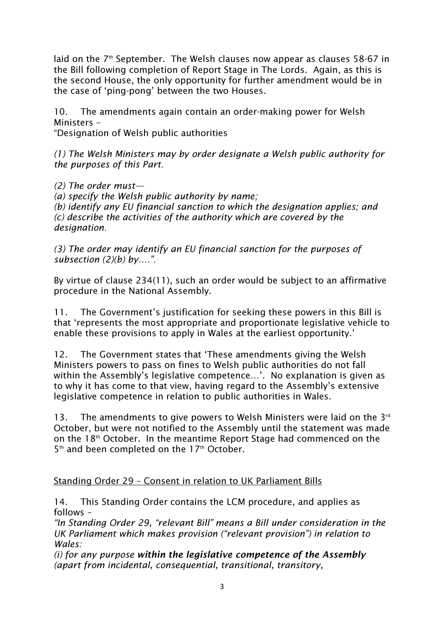laid on the 7<sup>th</sup> September. The Welsh clauses now appear as clauses 58-67 in the Bill following completion of Report Stage in The Lords. Again, as this is the second House, the only opportunity for further amendment would be in the case of 'ping-pong' between the two Houses.

10. The amendments again contain an order-making power for Welsh Ministers –

"Designation of Welsh public authorities

*(1) The Welsh Ministers may by order designate a Welsh public authority for the purposes of this Part.* 

*(2) The order must— (a) specify the Welsh public authority by name; (b) identify any EU financial sanction to which the designation applies; and (c) describe the activities of the authority which are covered by the designation.* 

*(3) The order may identify an EU financial sanction for the purposes of subsection (2)(b) by….".* 

By virtue of clause 234(11), such an order would be subject to an affirmative procedure in the National Assembly.

11. The Government's justification for seeking these powers in this Bill is that 'represents the most appropriate and proportionate legislative vehicle to enable these provisions to apply in Wales at the earliest opportunity.'

12. The Government states that 'These amendments giving the Welsh Ministers powers to pass on fines to Welsh public authorities do not fall within the Assembly's legislative competence…'. No explanation is given as to why it has come to that view, having regard to the Assembly's extensive legislative competence in relation to public authorities in Wales.

13. The amendments to give powers to Welsh Ministers were laid on the  $3^{rd}$ October, but were not notified to the Assembly until the statement was made on the  $18<sup>th</sup>$  October. In the meantime Report Stage had commenced on the 5<sup>th</sup> and been completed on the 17<sup>th</sup> October.

# Standing Order 29 – Consent in relation to UK Parliament Bills

14. This Standing Order contains the LCM procedure, and applies as follows –

*"In Standing Order 29, "relevant Bill" means a Bill under consideration in the UK Parliament which makes provision ("relevant provision") in relation to Wales:* 

*(i) for any purpose* within the legislative competence of the Assembly *(apart from incidental, consequential, transitional, transitory,*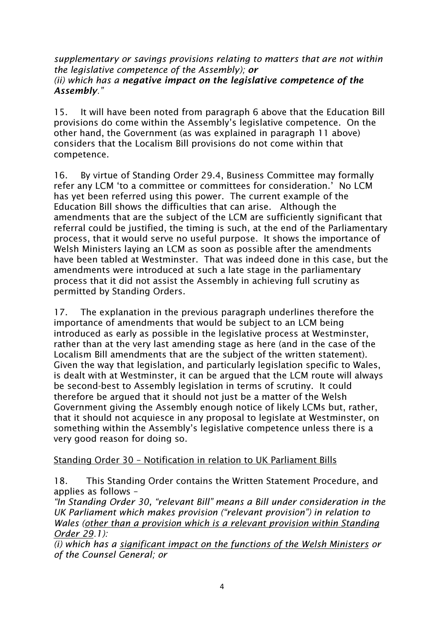*supplementary or savings provisions relating to matters that are not within the legislative competence of the Assembly);* or *(ii) which has a* negative impact on the legislative competence of the Assembly*."* 

15. It will have been noted from paragraph 6 above that the Education Bill provisions do come within the Assembly's legislative competence. On the other hand, the Government (as was explained in paragraph 11 above) considers that the Localism Bill provisions do not come within that competence.

16. By virtue of Standing Order 29.4, Business Committee may formally refer any LCM 'to a committee or committees for consideration.' No LCM has yet been referred using this power. The current example of the Education Bill shows the difficulties that can arise. Although the amendments that are the subject of the LCM are sufficiently significant that referral could be justified, the timing is such, at the end of the Parliamentary process, that it would serve no useful purpose. It shows the importance of Welsh Ministers laying an LCM as soon as possible after the amendments have been tabled at Westminster. That was indeed done in this case, but the amendments were introduced at such a late stage in the parliamentary process that it did not assist the Assembly in achieving full scrutiny as permitted by Standing Orders.

17. The explanation in the previous paragraph underlines therefore the importance of amendments that would be subject to an LCM being introduced as early as possible in the legislative process at Westminster, rather than at the very last amending stage as here (and in the case of the Localism Bill amendments that are the subject of the written statement). Given the way that legislation, and particularly legislation specific to Wales, is dealt with at Westminster, it can be argued that the LCM route will always be second-best to Assembly legislation in terms of scrutiny. It could therefore be argued that it should not just be a matter of the Welsh Government giving the Assembly enough notice of likely LCMs but, rather, that it should not acquiesce in any proposal to legislate at Westminster, on something within the Assembly's legislative competence unless there is a very good reason for doing so.

### Standing Order 30 – Notification in relation to UK Parliament Bills

18. This Standing Order contains the Written Statement Procedure, and applies as follows –

*"In Standing Order 30, "relevant Bill" means a Bill under consideration in the UK Parliament which makes provision ("relevant provision") in relation to Wales (other than a provision which is a relevant provision within Standing Order 29.1):* 

*(i) which has a significant impact on the functions of the Welsh Ministers or of the Counsel General; or*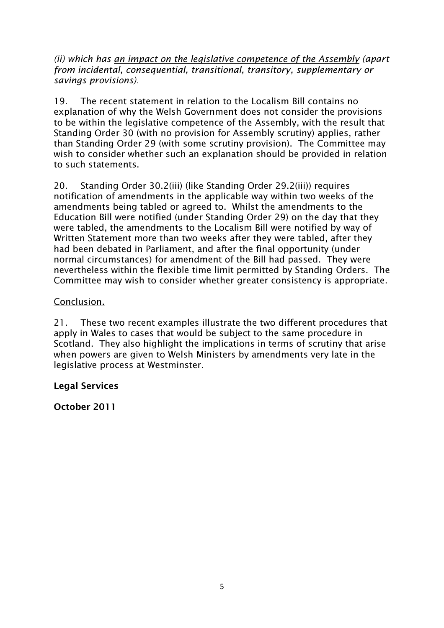*(ii) which has an impact on the legislative competence of the Assembly (apart from incidental, consequential, transitional, transitory, supplementary or savings provisions).* 

19. The recent statement in relation to the Localism Bill contains no explanation of why the Welsh Government does not consider the provisions to be within the legislative competence of the Assembly, with the result that Standing Order 30 (with no provision for Assembly scrutiny) applies, rather than Standing Order 29 (with some scrutiny provision). The Committee may wish to consider whether such an explanation should be provided in relation to such statements.

20. Standing Order 30.2(iii) (like Standing Order 29.2(iii)) requires notification of amendments in the applicable way within two weeks of the amendments being tabled or agreed to. Whilst the amendments to the Education Bill were notified (under Standing Order 29) on the day that they were tabled, the amendments to the Localism Bill were notified by way of Written Statement more than two weeks after they were tabled, after they had been debated in Parliament, and after the final opportunity (under normal circumstances) for amendment of the Bill had passed. They were nevertheless within the flexible time limit permitted by Standing Orders. The Committee may wish to consider whether greater consistency is appropriate.

## Conclusion.

21. These two recent examples illustrate the two different procedures that apply in Wales to cases that would be subject to the same procedure in Scotland. They also highlight the implications in terms of scrutiny that arise when powers are given to Welsh Ministers by amendments very late in the legislative process at Westminster.

### Legal Services

October 2011